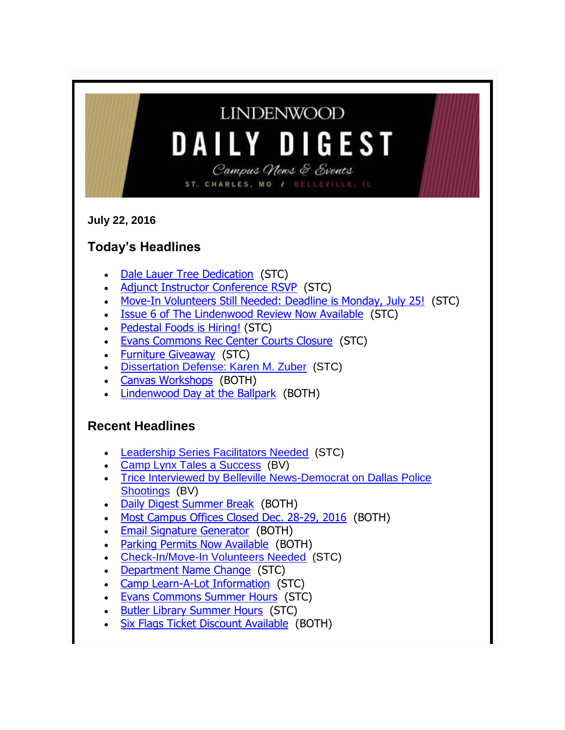| <b>LINDENWOOD</b><br><b>DAILY DIGEST</b><br>Campus News & Events<br>ST. CHARLES, MO / BELLEVILLE, IL                                                                                                                                                                                                                                                                                                                                                                                                                                                                                                                                                         |
|--------------------------------------------------------------------------------------------------------------------------------------------------------------------------------------------------------------------------------------------------------------------------------------------------------------------------------------------------------------------------------------------------------------------------------------------------------------------------------------------------------------------------------------------------------------------------------------------------------------------------------------------------------------|
| <b>July 22, 2016</b>                                                                                                                                                                                                                                                                                                                                                                                                                                                                                                                                                                                                                                         |
| <b>Today's Headlines</b>                                                                                                                                                                                                                                                                                                                                                                                                                                                                                                                                                                                                                                     |
| Dale Lauer Tree Dedication (STC)<br>Adjunct Instructor Conference RSVP (STC)<br>$\bullet$<br>Move-In Volunteers Still Needed: Deadline is Monday, July 25! (STC)<br><b>Issue 6 of The Lindenwood Review Now Available (STC)</b><br><b>Pedestal Foods is Hiring! (STC)</b><br>$\bullet$<br><b>Evans Commons Rec Center Courts Closure (STC)</b><br><b>Furniture Giveaway (STC)</b><br>$\bullet$<br>Dissertation Defense: Karen M. Zuber (STC)<br>$\bullet$<br><b>Canvas Workshops</b> (BOTH)<br>Lindenwood Day at the Ballpark (BOTH)                                                                                                                         |
| <b>Recent Headlines</b><br><b>Leadership Series Facilitators Needed (STC)</b><br>Camp Lynx Tales a Success (BV)<br>Trice Interviewed by Belleville News-Democrat on Dallas Police<br>Shootings (BV)<br>Daily Digest Summer Break (BOTH)<br>Most Campus Offices Closed Dec. 28-29, 2016 (BOTH)<br><b>Email Signature Generator (BOTH)</b><br><b>Parking Permits Now Available (BOTH)</b><br><b>Check-In/Move-In Volunteers Needed (STC)</b><br>Department Name Change (STC)<br>Camp Learn-A-Lot Information (STC)<br><b>Evans Commons Summer Hours (STC)</b><br><b>Butler Library Summer Hours (STC)</b><br><b>Six Flags Ticket Discount Available (BOTH)</b> |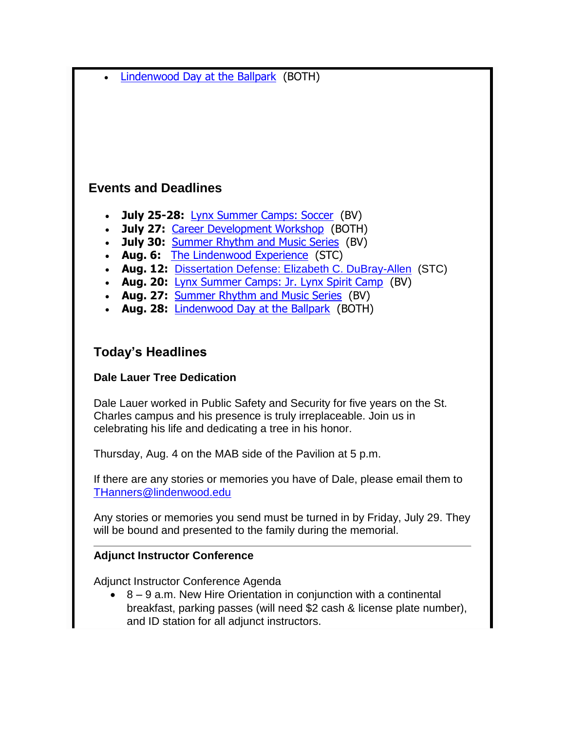| • Lindenwood Day at the Ballpark (BOTH)                                                                                                       |
|-----------------------------------------------------------------------------------------------------------------------------------------------|
|                                                                                                                                               |
|                                                                                                                                               |
|                                                                                                                                               |
|                                                                                                                                               |
| <b>Events and Deadlines</b>                                                                                                                   |
| <b>July 25-28:</b> Lynx Summer Camps: Soccer (BV)<br>$\bullet$                                                                                |
| July 27: Career Development Workshop (BOTH)<br>$\bullet$<br><b>July 30: Summer Rhythm and Music Series (BV)</b><br>$\bullet$                  |
| Aug. 6: The Lindenwood Experience (STC)<br>$\bullet$<br>Aug. 12: Dissertation Defense: Elizabeth C. DuBray-Allen (STC)                        |
| $\bullet$<br>Aug. 20: Lynx Summer Camps: Jr. Lynx Spirit Camp (BV)<br>$\bullet$                                                               |
| Aug. 27: Summer Rhythm and Music Series (BV)<br>$\bullet$<br>Aug. 28: Lindenwood Day at the Ballpark (BOTH)<br>$\bullet$                      |
|                                                                                                                                               |
| <b>Today's Headlines</b>                                                                                                                      |
| <b>Dale Lauer Tree Dedication</b>                                                                                                             |
| Dale Lauer worked in Public Safety and Security for five years on the St.                                                                     |
| Charles campus and his presence is truly irreplaceable. Join us in                                                                            |
| celebrating his life and dedicating a tree in his honor.                                                                                      |
| Thursday, Aug. 4 on the MAB side of the Pavilion at 5 p.m.                                                                                    |
| If there are any stories or memories you have of Dale, please email them to<br>THanners@lindenwood.edu                                        |
|                                                                                                                                               |
| Any stories or memories you send must be turned in by Friday, July 29. They<br>will be bound and presented to the family during the memorial. |
| <b>Adjunct Instructor Conference</b>                                                                                                          |
| Adjunct Instructor Conference Agenda                                                                                                          |
| 8 – 9 a.m. New Hire Orientation in conjunction with a continental                                                                             |
| breakfast, parking passes (will need \$2 cash & license plate number),<br>and ID station for all adjunct instructors.                         |
|                                                                                                                                               |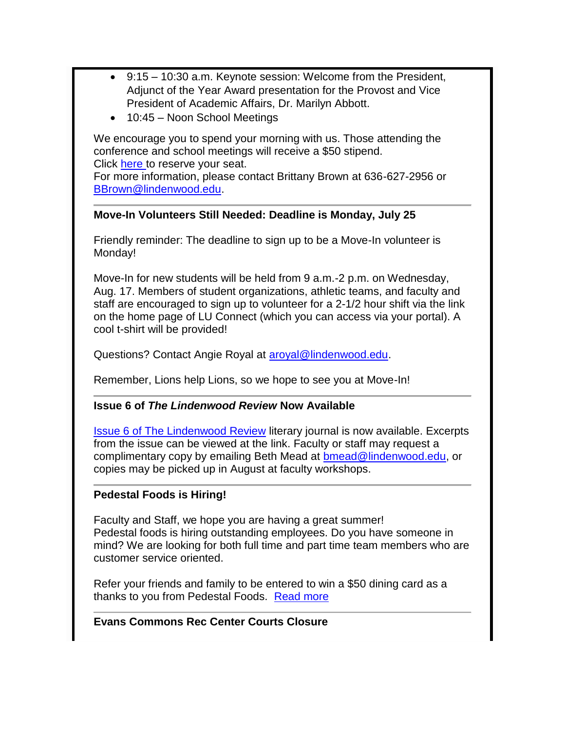- 9:15 10:30 a.m. Keynote session: Welcome from the President, Adjunct of the Year Award presentation for the Provost and Vice President of Academic Affairs, Dr. Marilyn Abbott.
- 10:45 Noon School Meetings

We encourage you to spend your morning with us. Those attending the conference and school meetings will receive a \$50 stipend. Click [here t](https://lindenwood.az1.qualtrics.com/jfe/form/SV_3JoErKVlK8ExzPn)o reserve your seat.

For more information, please contact Brittany Brown at 636-627-2956 or [BBrown@lindenwood.edu.](mailto:BBrown@lindenwood.edu)

#### **Move-In Volunteers Still Needed: Deadline is Monday, July 25**

Friendly reminder: The deadline to sign up to be a Move-In volunteer is Monday!

Move-In for new students will be held from 9 a.m.-2 p.m. on Wednesday, Aug. 17. Members of student organizations, athletic teams, and faculty and staff are encouraged to sign up to volunteer for a 2-1/2 hour shift via the link on the home page of LU Connect (which you can access via your portal). A cool t-shirt will be provided!

Questions? Contact Angie Royal at [aroyal@lindenwood.edu.](mailto:aroyal@lindenwood.edu)

Remember, Lions help Lions, so we hope to see you at Move-In!

# **Issue 6 of** *The Lindenwood Review* **Now Available**

[Issue 6 of The Lindenwood Review](http://www.lindenwood.edu/lindenwoodReview/current.cfm) literary journal is now available. Excerpts from the issue can be viewed at the link. Faculty or staff may request a complimentary copy by emailing Beth Mead at [bmead@lindenwood.edu,](mailto:bmead@lindenwood.edu) or copies may be picked up in August at faculty workshops.

# **Pedestal Foods is Hiring!**

Faculty and Staff, we hope you are having a great summer! Pedestal foods is hiring outstanding employees. Do you have someone in mind? We are looking for both full time and part time team members who are customer service oriented.

Refer your friends and family to be entered to win a \$50 dining card as a thanks to you from Pedestal Foods. [Read more](http://www.lindenwood.edu/newsletter/2016_07/pedestal.pdf)

# **Evans Commons Rec Center Courts Closure**